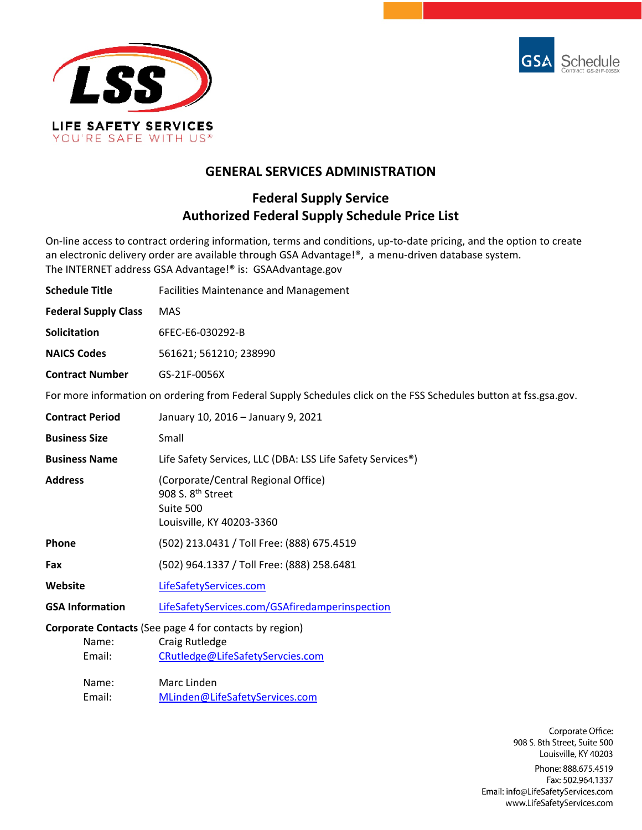



# **GENERAL SERVICES ADMINISTRATION**

# **Federal Supply Service Authorized Federal Supply Schedule Price List**

On-line access to contract ordering information, terms and conditions, up-to-date pricing, and the option to create an electronic delivery order are available through GSA Advantage!®, a menu-driven database system. The INTERNET address GSA Advantage!® is: GSAAdvantage.gov

| <b>Schedule Title</b>       | <b>Facilities Maintenance and Management</b>                                                                     |
|-----------------------------|------------------------------------------------------------------------------------------------------------------|
| <b>Federal Supply Class</b> | <b>MAS</b>                                                                                                       |
| Solicitation                | 6FEC-E6-030292-B                                                                                                 |
| <b>NAICS Codes</b>          | 561621; 561210; 238990                                                                                           |
| <b>Contract Number</b>      | GS-21F-0056X                                                                                                     |
|                             | For more information on ordering from Federal Supply Schedules click on the FSS Schedules button at fss.gsa.gov. |
| <b>Contract Period</b>      | January 10, 2016 - January 9, 2021                                                                               |
| <b>Business Size</b>        | Small                                                                                                            |
| <b>Business Name</b>        | Life Safety Services, LLC (DBA: LSS Life Safety Services <sup>®</sup> )                                          |
| <b>Address</b>              | (Corporate/Central Regional Office)<br>908 S. 8 <sup>th</sup> Street<br>Suite 500<br>Louisville, KY 40203-3360   |
| Phone                       | (502) 213.0431 / Toll Free: (888) 675.4519                                                                       |

- **Fax** (502) 964.1337 / Toll Free: (888) 258.6481
- **Website** [LifeSafetyServices.com](http://www.lifesafetyservices.com/)

**GSA Information** [LifeSafetyServices.com/GSAfiredamperinspection](http://www.lifesafetyservices.com/gsafiredamperinspection)

### **Corporate Contacts** (See page 4 for contacts by region)

| Name:  | Craig Rutledge                   |
|--------|----------------------------------|
| Email: | CRutledge@LifeSafetyServcies.com |
|        |                                  |
| Name:  | Marc Linden                      |
|        |                                  |

Email: [MLinden@LifeSafetyServices.com](mailto:MLinden@LifeSafetyServices.com)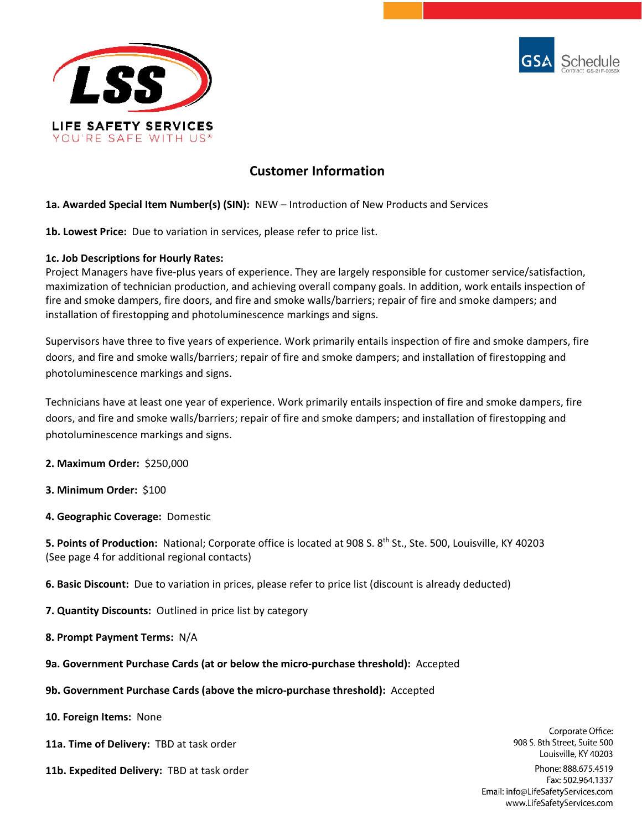



# **Customer Information**

### **1a. Awarded Special Item Number(s) (SIN):** NEW – Introduction of New Products and Services

**1b. Lowest Price:** Due to variation in services, please refer to price list.

### **1c. Job Descriptions for Hourly Rates:**

Project Managers have five-plus years of experience. They are largely responsible for customer service/satisfaction, maximization of technician production, and achieving overall company goals. In addition, work entails inspection of fire and smoke dampers, fire doors, and fire and smoke walls/barriers; repair of fire and smoke dampers; and installation of firestopping and photoluminescence markings and signs.

Supervisors have three to five years of experience. Work primarily entails inspection of fire and smoke dampers, fire doors, and fire and smoke walls/barriers; repair of fire and smoke dampers; and installation of firestopping and photoluminescence markings and signs.

Technicians have at least one year of experience. Work primarily entails inspection of fire and smoke dampers, fire doors, and fire and smoke walls/barriers; repair of fire and smoke dampers; and installation of firestopping and photoluminescence markings and signs.

**2. Maximum Order:** \$250,000

- **3. Minimum Order:** \$100
- **4. Geographic Coverage:** Domestic

**5. Points of Production:** National; Corporate office is located at 908 S. 8<sup>th</sup> St., Ste. 500, Louisville, KY 40203 (See page 4 for additional regional contacts)

**6. Basic Discount:** Due to variation in prices, please refer to price list (discount is already deducted)

- **7. Quantity Discounts:** Outlined in price list by category
- **8. Prompt Payment Terms:** N/A
- **9a. Government Purchase Cards (at or below the micro-purchase threshold):** Accepted
- **9b. Government Purchase Cards (above the micro-purchase threshold):** Accepted
- **10. Foreign Items:** None
- **11a. Time of Delivery:** TBD at task order
- **11b. Expedited Delivery:** TBD at task order

908 S. 8th Street, Suite 500 Louisville, KY 40203 Phone: 888.675.4519 Fax: 502.964.1337 Email: info@LifeSafetyServices.com www.LifeSafetyServices.com

Corporate Office: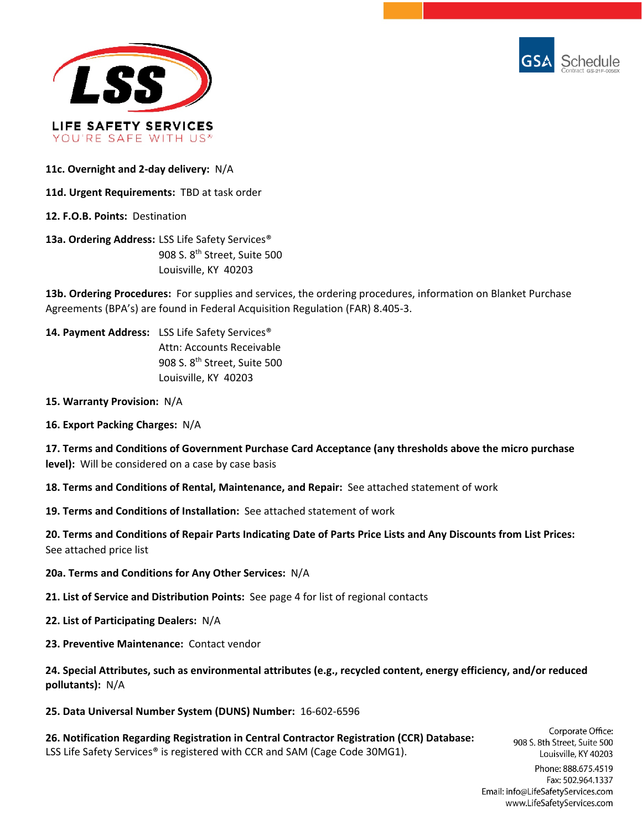



**11c. Overnight and 2-day delivery:** N/A

**11d. Urgent Requirements:** TBD at task order

**12. F.O.B. Points:** Destination

**13a. Ordering Address:** LSS Life Safety Services® 908 S. 8th Street, Suite 500 Louisville, KY 40203

**13b. Ordering Procedures:** For supplies and services, the ordering procedures, information on Blanket Purchase Agreements (BPA's) are found in Federal Acquisition Regulation (FAR) 8.405-3.

**14. Payment Address:** LSS Life Safety Services® Attn: Accounts Receivable 908 S. 8<sup>th</sup> Street, Suite 500 Louisville, KY 40203

- **15. Warranty Provision:** N/A
- **16. Export Packing Charges:** N/A

**17. Terms and Conditions of Government Purchase Card Acceptance (any thresholds above the micro purchase level):** Will be considered on a case by case basis

**18. Terms and Conditions of Rental, Maintenance, and Repair:** See attached statement of work

**19. Terms and Conditions of Installation:** See attached statement of work

**20. Terms and Conditions of Repair Parts Indicating Date of Parts Price Lists and Any Discounts from List Prices:** See attached price list

- **20a. Terms and Conditions for Any Other Services:** N/A
- **21. List of Service and Distribution Points:** See page 4 for list of regional contacts
- **22. List of Participating Dealers:** N/A
- **23. Preventive Maintenance:** Contact vendor

**24. Special Attributes, such as environmental attributes (e.g., recycled content, energy efficiency, and/or reduced pollutants):** N/A

**25. Data Universal Number System (DUNS) Number:** 16-602-6596

**26. Notification Regarding Registration in Central Contractor Registration (CCR) Database:** LSS Life Safety Services<sup>®</sup> is registered with CCR and SAM (Cage Code 30MG1).

Corporate Office: 908 S. 8th Street, Suite 500 Louisville, KY 40203

Phone: 888.675.4519 Fax: 502.964.1337 Email: info@LifeSafetyServices.com www.LifeSafetyServices.com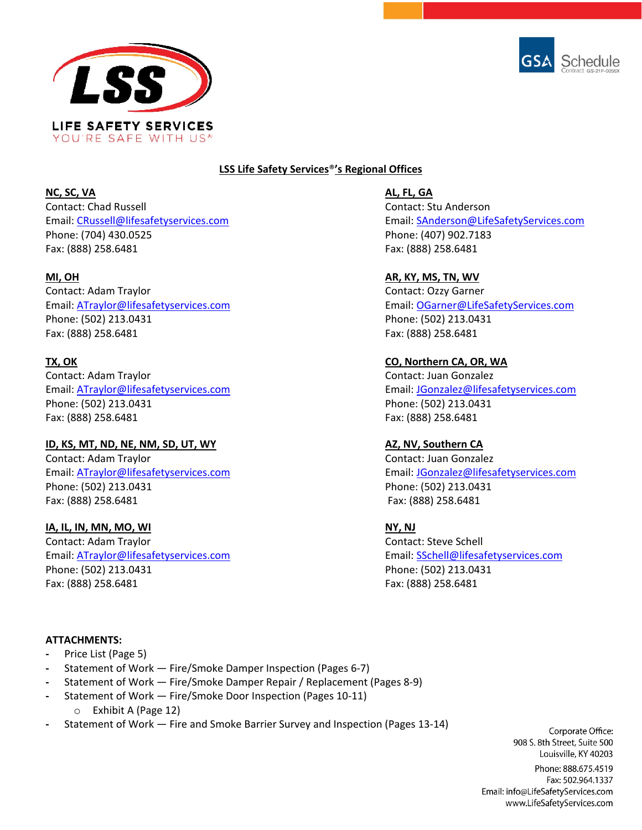



## **LSS Life Safety Services**®**'s Regional Offices**

**NC, SC, VA AL, FL, GA** Contact: Chad Russell Contact: Stu Anderson Phone: (704) 430.0525 Phone: (407) 902.7183 Fax: (888) 258.6481 Fax: (888) 258.6481

Contact: Adam Traylor Contact: Ozzy Garner Phone: (502) 213.0431 Phone: (502) 213.0431 Fax: (888) 258.6481 Fax: (888) 258.6481

Contact: Adam Traylor Contact: Juan Gonzalez Phone: (502) 213.0431 Phone: (502) 213.0431 Fax: (888) 258.6481 Fax: (888) 258.6481

### **ID, KS, MT, ND, NE, NM, SD, UT, WY AZ, NV, Southern CA**

Contact: Adam Traylor Contact: Juan Gonzalez Phone: (502) 213.0431 Phone: (502) 213.0431 Fax: (888) 258.6481 Fax: (888) 258.6481

### **IA, IL, IN, MN, MO, WI NY, NJ**

Contact: Adam Traylor Contact: Steve Schell Email: [ATraylor@lifesafetyservices.com](mailto:ATraylor@lifesafetyservices.com) Email: [SSchell@lifesafetyservices.com](mailto:SSchell@lifesafetyservices.com) Phone: (502) 213.0431 Phone: (502) 213.0431 Fax: (888) 258.6481 Fax: (888) 258.6481

Email: [CRussell@lifesafetyservices.com](mailto:CRussell@lifesafetyservices.com) Email: [SAnderson@LifeSafetyServices.com](mailto:SAnderson@LifeSafetyServices.com)

### **MI, OH AR, KY, MS, TN, WV**

Email: **ATraylor@lifesafetyservices.com** Email: **OGarner@LifeSafetyServices.com** Email: **ATraylor@lifeSafetyServices.com** 

## **TX, OK CO, Northern CA, OR, WA**

Email: [ATraylor@lifesafetyservices.com](mailto:ATraylor@lifesafetyservices.com) Email: [JGonzalez@lifesafetyservices.com](mailto:JGonzalez@lifesafetyservices.com)

Email: [ATraylor@lifesafetyservices.com](mailto:ATraylor@lifesafetyservices.com) Email: [JGonzalez@lifesafetyservices.com](mailto:JGonzalez@lifesafetyservices.com)

#### **ATTACHMENTS:**

- **-** Price List (Page 5)
- **-** Statement of Work Fire/Smoke Damper Inspection (Pages 6-7)
- **-** Statement of Work Fire/Smoke Damper Repair / Replacement (Pages 8-9)
- **-** Statement of Work Fire/Smoke Door Inspection (Pages 10-11)
	- o Exhibit A (Page 12)
- **-** Statement of Work Fire and Smoke Barrier Survey and Inspection (Pages 13-14)

Corporate Office: 908 S. 8th Street, Suite 500 Louisville, KY 40203

Phone: 888.675.4519 Fax: 502.964.1337 Email: info@LifeSafetyServices.com www.LifeSafetyServices.com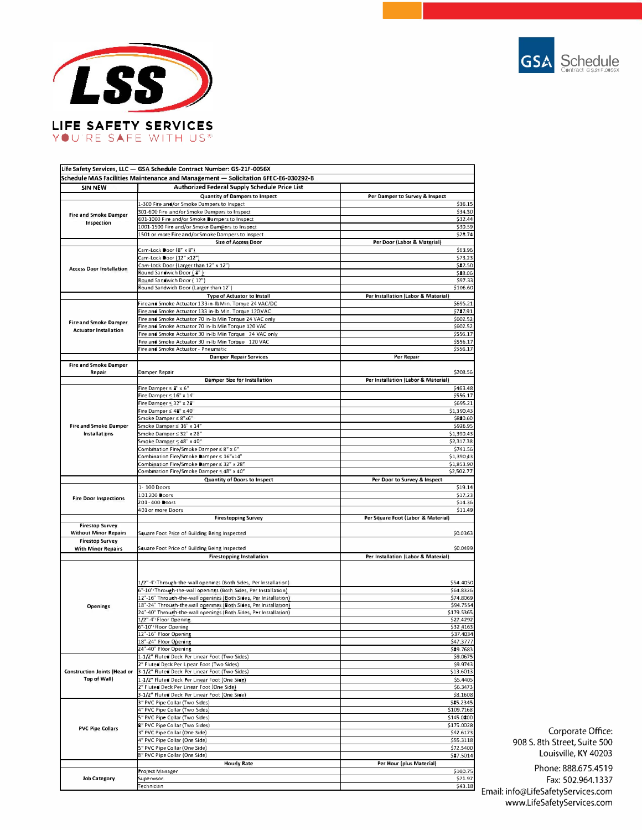



-

| Life Safety Services, LLC — GSA Schedule Contract Number: GS-21F-0056X | Schedule MAS Facilities Maintenance and Management — Solicitation 6FEC-E6-030292-B                                                  |                                                                                                                                                                                                                                                                                                                 |
|------------------------------------------------------------------------|-------------------------------------------------------------------------------------------------------------------------------------|-----------------------------------------------------------------------------------------------------------------------------------------------------------------------------------------------------------------------------------------------------------------------------------------------------------------|
| <b>SIN NEW</b>                                                         | <b>Authorized Federal Supply Schedule Price List</b>                                                                                |                                                                                                                                                                                                                                                                                                                 |
|                                                                        | <b>Quantity of Dampers to Inspect</b>                                                                                               | Per Damper to Survey & Inspect                                                                                                                                                                                                                                                                                  |
| <b>Fire and Smoke Damper</b><br>Inspection                             | 1-300 Fire and/or Smoke Dampers to Inspect                                                                                          | \$36.15                                                                                                                                                                                                                                                                                                         |
|                                                                        | 301-600 Fire and/or Smoke Dampers to Inspect                                                                                        | \$34.30                                                                                                                                                                                                                                                                                                         |
|                                                                        | 601-1000 Fire and/or Smoke Dampers to Inspect<br>1001-1500 Fire and/or Smoke Dampers to Inspect                                     | \$32.44<br>\$30.59                                                                                                                                                                                                                                                                                              |
|                                                                        | 1501 or more Fire and/or Smoke Dampers to Inspect                                                                                   | \$28.74                                                                                                                                                                                                                                                                                                         |
|                                                                        | <b>Size of Access Door</b>                                                                                                          | Per Door (Labor & Material)                                                                                                                                                                                                                                                                                     |
| <b>Access Door Installation</b>                                        | Cam-Lock Door (8" x 8")                                                                                                             | \$63.96                                                                                                                                                                                                                                                                                                         |
|                                                                        | Cam-Lock Door (12" x12")                                                                                                            | \$73.23                                                                                                                                                                                                                                                                                                         |
|                                                                        | Cam-Lock Door (Larger than 12" x 12")<br>Round Sandwich Door ( 8")                                                                  | \$\$2.50<br>\$88.06                                                                                                                                                                                                                                                                                             |
|                                                                        | Round Sandwich Door (12")                                                                                                           | \$97.33                                                                                                                                                                                                                                                                                                         |
|                                                                        | Round Sandwich Door (Larger than 12")                                                                                               | \$106.60                                                                                                                                                                                                                                                                                                        |
| <b>Fire and Smoke Damper</b><br><b>Actuator Installation</b>           | Type of Actuator to Install                                                                                                         | Per Installation (Labor & Material)                                                                                                                                                                                                                                                                             |
|                                                                        | Fireand Smoke Actuator 133 in-IbMin. Torque 24 VAC/DC                                                                               | \$695.21                                                                                                                                                                                                                                                                                                        |
|                                                                        | Fire and Smoke Actuator 133 in-Ib Min. Torque 120VAC                                                                                | \$787.91                                                                                                                                                                                                                                                                                                        |
|                                                                        | Fire and Smoke Actuator 70 in-Ib Min Torque 24 VAC only<br>Fire and Smoke Actuator 70 in-Ib Min Torque 120 VAC                      | \$602.52<br>\$602.52                                                                                                                                                                                                                                                                                            |
|                                                                        | Fire and Smoke Actuator 30 in-Ib Min Torque 24 VAC only                                                                             | \$556.17                                                                                                                                                                                                                                                                                                        |
|                                                                        | Fire and Smoke Actuator 30 in-lb Min Torque 120 VAC                                                                                 | \$556.17                                                                                                                                                                                                                                                                                                        |
|                                                                        | Fire and Smoke Actuator - Pneumatic                                                                                                 | \$556.17                                                                                                                                                                                                                                                                                                        |
|                                                                        | <b>Damper Repair Services</b>                                                                                                       | Per Repair                                                                                                                                                                                                                                                                                                      |
| <b>Fire and Smoke Damper</b><br>Repair                                 | Damper Repair                                                                                                                       | \$208.56                                                                                                                                                                                                                                                                                                        |
|                                                                        | Damper Size for Installation                                                                                                        | Per Installation (Labor & Material)                                                                                                                                                                                                                                                                             |
|                                                                        | Fire Damper $\leq 8" \times 6"$                                                                                                     | \$463.48                                                                                                                                                                                                                                                                                                        |
|                                                                        | Fire Damper $\leq 16" \times 14"$                                                                                                   | \$556.17                                                                                                                                                                                                                                                                                                        |
|                                                                        | Fire Damper ≤ 32" x 28"<br>Fire Damper $\leq 42^{\circ} \times 40^{\circ}$                                                          | \$695.21<br>\$1,390.43                                                                                                                                                                                                                                                                                          |
|                                                                        | Smoke Damper ≤ 8"x6"                                                                                                                | \$820.60                                                                                                                                                                                                                                                                                                        |
| <b>Fire and Smoke Damper</b>                                           | Smoke Damper ≤ 16" x 14"                                                                                                            | \$926.95                                                                                                                                                                                                                                                                                                        |
| Installations                                                          | Smoke Damper ≤ 32" x 28"                                                                                                            | \$1,390.43                                                                                                                                                                                                                                                                                                      |
|                                                                        | Smoke Damper ≤ 48" x 40"                                                                                                            | \$2,317.38                                                                                                                                                                                                                                                                                                      |
|                                                                        | Combination Fire/Smoke Damper ≤ 8" x 6"                                                                                             | \$741.56                                                                                                                                                                                                                                                                                                        |
|                                                                        | Combination Fire/Smoke Damper ≤ 16"x14"<br>Combination Fire/Smoke Damper ≤ 32" x 28"                                                | \$1,390.43                                                                                                                                                                                                                                                                                                      |
|                                                                        | Combination Fire/Smoke Damper ≤ 48" x 40"                                                                                           | \$1,853.90<br>\$2,502.77                                                                                                                                                                                                                                                                                        |
|                                                                        | Quantity of Doors to Inspect                                                                                                        | Per Door to Survey & Inspect                                                                                                                                                                                                                                                                                    |
|                                                                        |                                                                                                                                     |                                                                                                                                                                                                                                                                                                                 |
|                                                                        | 1-100 Doors                                                                                                                         |                                                                                                                                                                                                                                                                                                                 |
|                                                                        | 101-200 Doors                                                                                                                       | \$19.14<br>\$17.23                                                                                                                                                                                                                                                                                              |
| <b>Fire Door Inspections</b>                                           | 201-400 Doors                                                                                                                       | \$14.36                                                                                                                                                                                                                                                                                                         |
|                                                                        | 401 or more Doors                                                                                                                   |                                                                                                                                                                                                                                                                                                                 |
|                                                                        | <b>Firestopping Survey</b>                                                                                                          | Per Square Foot (Labor & Material)                                                                                                                                                                                                                                                                              |
| <b>Firestop Survey</b><br><b>Without Minor Repairs</b>                 | Square Foot Price of Building Being Inspected                                                                                       |                                                                                                                                                                                                                                                                                                                 |
| <b>Firestop Survey</b>                                                 |                                                                                                                                     |                                                                                                                                                                                                                                                                                                                 |
| <b>With Minor Repairs</b>                                              | Square Foot Price of Building Being Inspected                                                                                       |                                                                                                                                                                                                                                                                                                                 |
|                                                                        | <b>Firestopping Installation</b>                                                                                                    | Per Installation (Labor & Material)                                                                                                                                                                                                                                                                             |
|                                                                        |                                                                                                                                     |                                                                                                                                                                                                                                                                                                                 |
|                                                                        |                                                                                                                                     |                                                                                                                                                                                                                                                                                                                 |
|                                                                        | 1/2"-4" Through-the-wall openings (Both Sides, Per Installation)                                                                    |                                                                                                                                                                                                                                                                                                                 |
|                                                                        | 6"-10" Through-the-wall openings (Both Sides, Per Installation)<br>12"-16" Through-the-wall openings (Both Sides, Per Installation) |                                                                                                                                                                                                                                                                                                                 |
| <b>Openings</b>                                                        | 18"-24" Through-the-wall openings (Both Sides, Per Installation)                                                                    |                                                                                                                                                                                                                                                                                                                 |
|                                                                        | 24"-40" Through-the-wall openings (Both Sides, Per Installation)                                                                    |                                                                                                                                                                                                                                                                                                                 |
|                                                                        | 1/2"-4" Floor Opening                                                                                                               |                                                                                                                                                                                                                                                                                                                 |
|                                                                        | 6"-10" Floor Opening<br>12"-16" Floor Opening                                                                                       |                                                                                                                                                                                                                                                                                                                 |
|                                                                        | 18"-24" Floor Opening                                                                                                               |                                                                                                                                                                                                                                                                                                                 |
|                                                                        | 24"-40" Floor Opening                                                                                                               |                                                                                                                                                                                                                                                                                                                 |
|                                                                        | 1-1/2" Fluted Deck Per Linear Foot (Two Sides)                                                                                      | \$9.0675                                                                                                                                                                                                                                                                                                        |
|                                                                        | 2" Fluted Deck Per Linear Foot (Two Sides)                                                                                          |                                                                                                                                                                                                                                                                                                                 |
| <b>Construction Joints (Head or</b><br><b>Top of Wall</b>              | 3-1/2" Fluted Deck Per Linear Foot (Two Sides)<br>1-1/2" Fluted Deck Per Linear Foot (One Side)                                     |                                                                                                                                                                                                                                                                                                                 |
|                                                                        | 2" Fluted Deck Per Linear Foot (One Side)                                                                                           |                                                                                                                                                                                                                                                                                                                 |
|                                                                        | 3-1/2" Fluted Deck Per Linear Foot (One Side)                                                                                       |                                                                                                                                                                                                                                                                                                                 |
|                                                                        | 3" PVC Pipe Collar (Two Sides)                                                                                                      |                                                                                                                                                                                                                                                                                                                 |
|                                                                        | 4" PVC Pipe Collar (Two Sides)                                                                                                      |                                                                                                                                                                                                                                                                                                                 |
|                                                                        | 5" PVC Pipe Collar (Two Sides)                                                                                                      |                                                                                                                                                                                                                                                                                                                 |
| <b>PVC Pipe Collars</b>                                                | 8" PVC Pipe Collar (Two Sides)<br>3" PVC Pipe Collar (One Side)                                                                     |                                                                                                                                                                                                                                                                                                                 |
|                                                                        | 4" PVC Pipe Collar (One Side)                                                                                                       |                                                                                                                                                                                                                                                                                                                 |
|                                                                        | 5" PVC Pipe Collar (One Side)                                                                                                       |                                                                                                                                                                                                                                                                                                                 |
|                                                                        | 8" PVC Pipe Collar (One Side)                                                                                                       | \$9.9743<br>\$13.6013<br>\$6.3473<br>\$42.6173                                                                                                                                                                                                                                                                  |
|                                                                        | <b>Hourly Rate</b>                                                                                                                  | Per Hour (plus Material)                                                                                                                                                                                                                                                                                        |
| <b>Job Category</b>                                                    | Project Manager<br>Supervisor                                                                                                       | \$11.49<br>\$0.0363<br>\$0.0499<br>\$54.4050<br>\$64.8326<br>\$74.8069<br>\$94.7554<br>\$179.5365<br>\$27.4292<br>\$32,4163<br>\$37.4034<br>\$47.3777<br>\$89.7683<br>\$5.4405<br>\$8.1608<br>\$85.2345<br>\$109.7168<br>\$145.0800<br>\$175.0028<br>\$55.3118<br>\$72.5400<br>\$87.5014<br>\$100.75<br>\$71.97 |

Corporate Office: 908 S. 8th Street, Suite 500 Louisville, KY 40203

\$71.97 \$43.18 Email: info@LifeSafetyServices.com Phone: 888.675.4519 Fax: 502.964.1337 www.LifeSafetyServices.com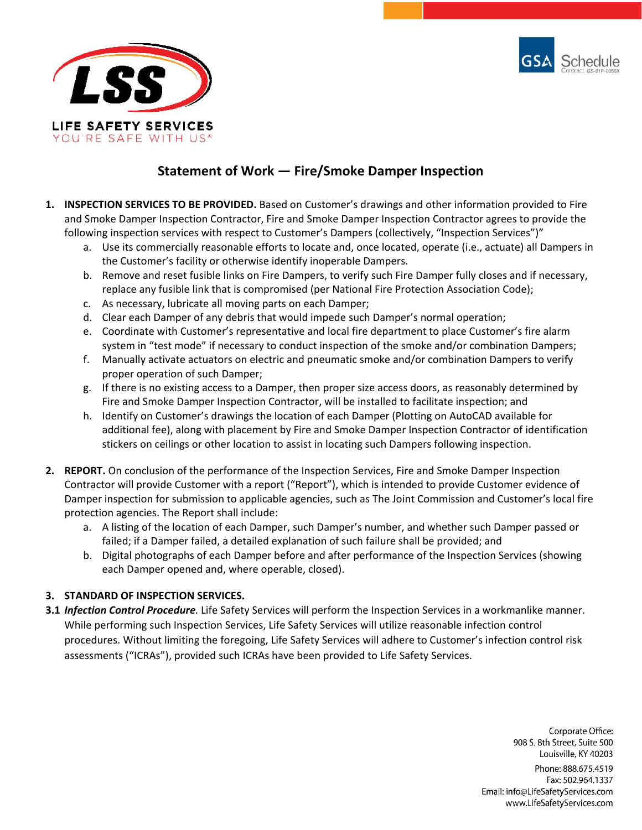



# **Statement of Work — Fire/Smoke Damper Inspection**

- **1. INSPECTION SERVICES TO BE PROVIDED.** Based on Customer's drawings and other information provided to Fire and Smoke Damper Inspection Contractor, Fire and Smoke Damper Inspection Contractor agrees to provide the following inspection services with respect to Customer's Dampers (collectively, "Inspection Services")"
	- a. Use its commercially reasonable efforts to locate and, once located, operate (i.e., actuate) all Dampers in the Customer's facility or otherwise identify inoperable Dampers.
	- b. Remove and reset fusible links on Fire Dampers, to verify such Fire Damper fully closes and if necessary, replace any fusible link that is compromised (per National Fire Protection Association Code);
	- c. As necessary, lubricate all moving parts on each Damper;
	- d. Clear each Damper of any debris that would impede such Damper's normal operation;
	- e. Coordinate with Customer's representative and local fire department to place Customer's fire alarm system in "test mode" if necessary to conduct inspection of the smoke and/or combination Dampers;
	- f. Manually activate actuators on electric and pneumatic smoke and/or combination Dampers to verify proper operation of such Damper;
	- g. If there is no existing access to a Damper, then proper size access doors, as reasonably determined by Fire and Smoke Damper Inspection Contractor, will be installed to facilitate inspection; and
	- h. Identify on Customer's drawings the location of each Damper (Plotting on AutoCAD available for additional fee), along with placement by Fire and Smoke Damper Inspection Contractor of identification stickers on ceilings or other location to assist in locating such Dampers following inspection.
- **2. REPORT.** On conclusion of the performance of the Inspection Services, Fire and Smoke Damper Inspection Contractor will provide Customer with a report ("Report"), which is intended to provide Customer evidence of Damper inspection for submission to applicable agencies, such as The Joint Commission and Customer's local fire protection agencies. The Report shall include:
	- a. A listing of the location of each Damper, such Damper's number, and whether such Damper passed or failed; if a Damper failed, a detailed explanation of such failure shall be provided; and
	- b. Digital photographs of each Damper before and after performance of the Inspection Services (showing each Damper opened and, where operable, closed).

## **3. STANDARD OF INSPECTION SERVICES.**

**3.1** *Infection Control Procedure.* Life Safety Services will perform the Inspection Services in a workmanlike manner. While performing such Inspection Services, Life Safety Services will utilize reasonable infection control procedures. Without limiting the foregoing, Life Safety Services will adhere to Customer's infection control risk assessments ("ICRAs"), provided such ICRAs have been provided to Life Safety Services.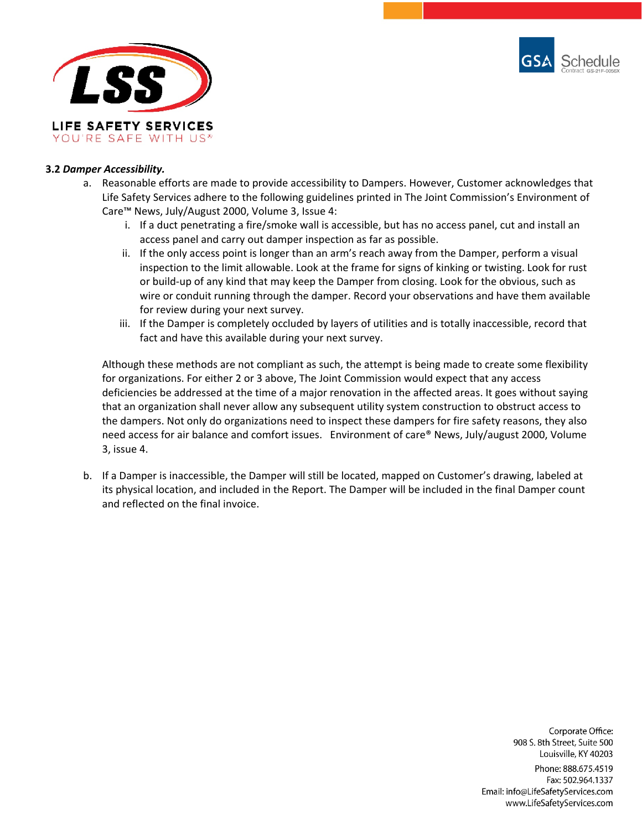



### **3.2** *Damper Accessibility.*

- a. Reasonable efforts are made to provide accessibility to Dampers. However, Customer acknowledges that Life Safety Services adhere to the following guidelines printed in The Joint Commission's Environment of Care™ News, July/August 2000, Volume 3, Issue 4:
	- i. If a duct penetrating a fire/smoke wall is accessible, but has no access panel, cut and install an access panel and carry out damper inspection as far as possible.
	- ii. If the only access point is longer than an arm's reach away from the Damper, perform a visual inspection to the limit allowable. Look at the frame for signs of kinking or twisting. Look for rust or build-up of any kind that may keep the Damper from closing. Look for the obvious, such as wire or conduit running through the damper. Record your observations and have them available for review during your next survey.
	- iii. If the Damper is completely occluded by layers of utilities and is totally inaccessible, record that fact and have this available during your next survey.

Although these methods are not compliant as such, the attempt is being made to create some flexibility for organizations. For either 2 or 3 above, The Joint Commission would expect that any access deficiencies be addressed at the time of a major renovation in the affected areas. It goes without saying that an organization shall never allow any subsequent utility system construction to obstruct access to the dampers. Not only do organizations need to inspect these dampers for fire safety reasons, they also need access for air balance and comfort issues. Environment of care® News, July/august 2000, Volume 3, issue 4.

b. If a Damper is inaccessible, the Damper will still be located, mapped on Customer's drawing, labeled at its physical location, and included in the Report. The Damper will be included in the final Damper count and reflected on the final invoice.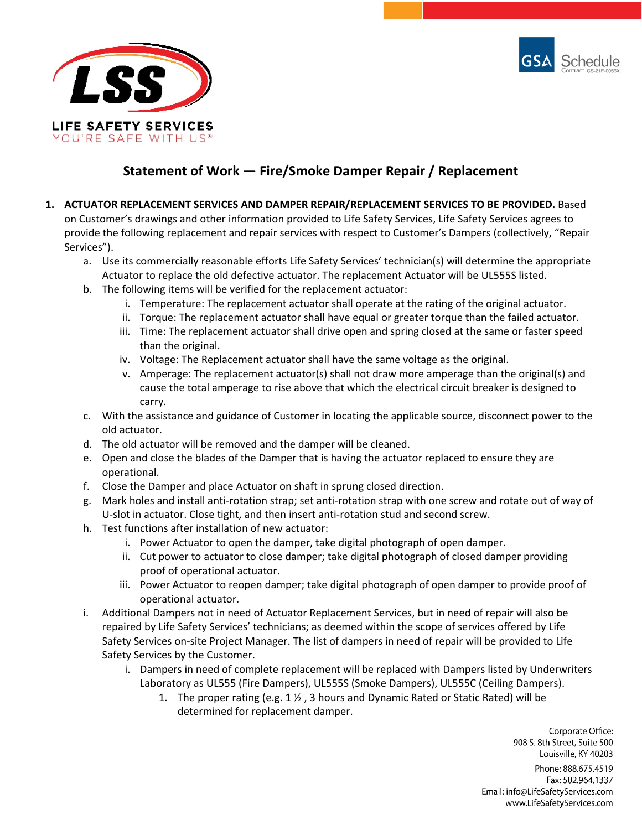



# **Statement of Work — Fire/Smoke Damper Repair / Replacement**

- **1. ACTUATOR REPLACEMENT SERVICES AND DAMPER REPAIR/REPLACEMENT SERVICES TO BE PROVIDED.** Based on Customer's drawings and other information provided to Life Safety Services, Life Safety Services agrees to provide the following replacement and repair services with respect to Customer's Dampers (collectively, "Repair Services").
	- a. Use its commercially reasonable efforts Life Safety Services' technician(s) will determine the appropriate Actuator to replace the old defective actuator. The replacement Actuator will be UL555S listed.
	- b. The following items will be verified for the replacement actuator:
		- i. Temperature: The replacement actuator shall operate at the rating of the original actuator.
		- ii. Torque: The replacement actuator shall have equal or greater torque than the failed actuator.
		- iii. Time: The replacement actuator shall drive open and spring closed at the same or faster speed than the original.
		- iv. Voltage: The Replacement actuator shall have the same voltage as the original.
		- v. Amperage: The replacement actuator(s) shall not draw more amperage than the original(s) and cause the total amperage to rise above that which the electrical circuit breaker is designed to carry.
	- c. With the assistance and guidance of Customer in locating the applicable source, disconnect power to the old actuator.
	- d. The old actuator will be removed and the damper will be cleaned.
	- e. Open and close the blades of the Damper that is having the actuator replaced to ensure they are operational.
	- f. Close the Damper and place Actuator on shaft in sprung closed direction.
	- g. Mark holes and install anti-rotation strap; set anti-rotation strap with one screw and rotate out of way of U-slot in actuator. Close tight, and then insert anti-rotation stud and second screw.
	- h. Test functions after installation of new actuator:
		- i. Power Actuator to open the damper, take digital photograph of open damper.
		- ii. Cut power to actuator to close damper; take digital photograph of closed damper providing proof of operational actuator.
		- iii. Power Actuator to reopen damper; take digital photograph of open damper to provide proof of operational actuator.
	- i. Additional Dampers not in need of Actuator Replacement Services, but in need of repair will also be repaired by Life Safety Services' technicians; as deemed within the scope of services offered by Life Safety Services on-site Project Manager. The list of dampers in need of repair will be provided to Life Safety Services by the Customer.
		- i. Dampers in need of complete replacement will be replaced with Dampers listed by Underwriters Laboratory as UL555 (Fire Dampers), UL555S (Smoke Dampers), UL555C (Ceiling Dampers).
			- 1. The proper rating (e.g. 1 ½ , 3 hours and Dynamic Rated or Static Rated) will be determined for replacement damper.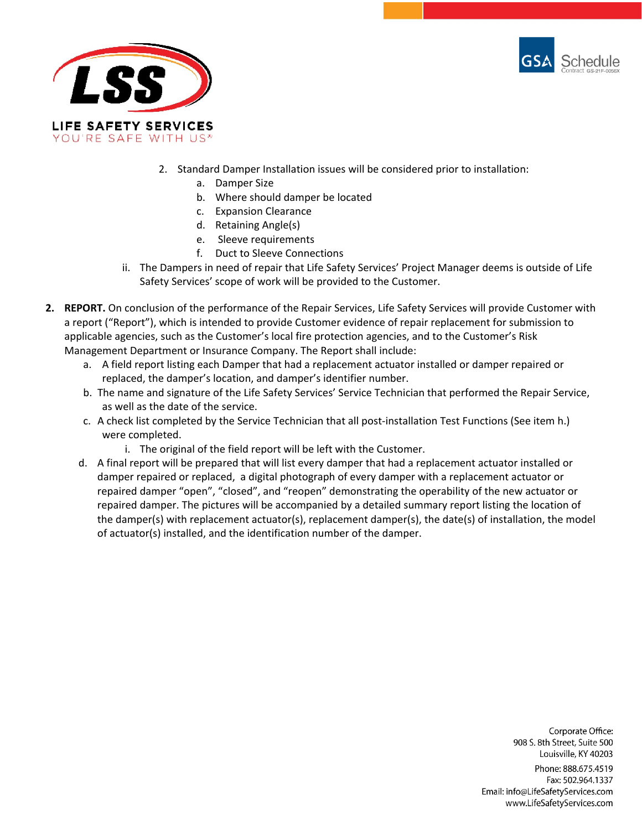



- 2. Standard Damper Installation issues will be considered prior to installation:
	- a. Damper Size
	- b. Where should damper be located
	- c. Expansion Clearance
	- d. Retaining Angle(s)
	- e. Sleeve requirements
	- f. Duct to Sleeve Connections
- ii. The Dampers in need of repair that Life Safety Services' Project Manager deems is outside of Life Safety Services' scope of work will be provided to the Customer.
- **2. REPORT.** On conclusion of the performance of the Repair Services, Life Safety Services will provide Customer with a report ("Report"), which is intended to provide Customer evidence of repair replacement for submission to applicable agencies, such as the Customer's local fire protection agencies, and to the Customer's Risk Management Department or Insurance Company. The Report shall include:
	- a. A field report listing each Damper that had a replacement actuator installed or damper repaired or replaced, the damper's location, and damper's identifier number.
	- b. The name and signature of the Life Safety Services' Service Technician that performed the Repair Service, as well as the date of the service.
	- c. A check list completed by the Service Technician that all post-installation Test Functions (See item h.) were completed.
		- i. The original of the field report will be left with the Customer.
	- d. A final report will be prepared that will list every damper that had a replacement actuator installed or damper repaired or replaced, a digital photograph of every damper with a replacement actuator or repaired damper "open", "closed", and "reopen" demonstrating the operability of the new actuator or repaired damper. The pictures will be accompanied by a detailed summary report listing the location of the damper(s) with replacement actuator(s), replacement damper(s), the date(s) of installation, the model of actuator(s) installed, and the identification number of the damper.

Corporate Office: 908 S. 8th Street, Suite 500 Louisville, KY 40203 Phone: 888.675.4519 Fax: 502.964.1337 Email: info@LifeSafetyServices.com

www.LifeSafetyServices.com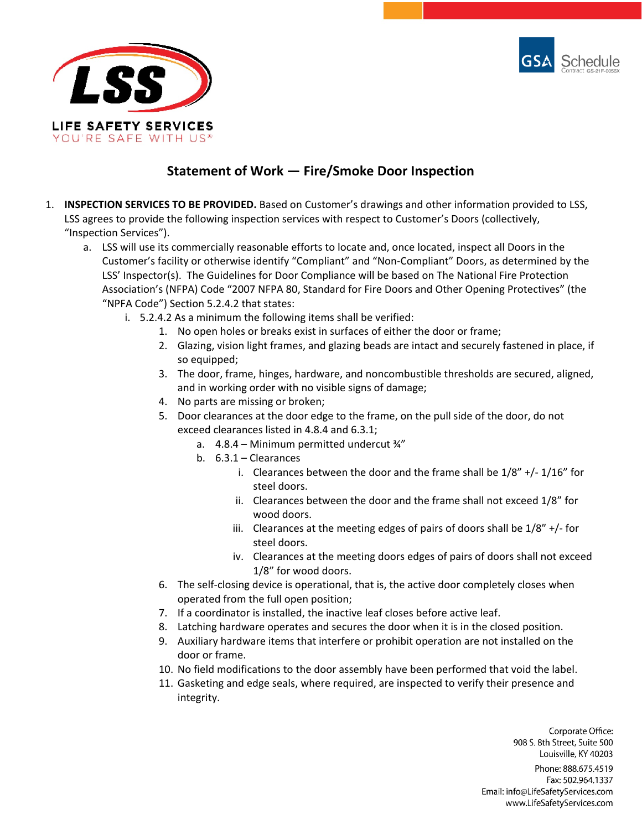



# **Statement of Work — Fire/Smoke Door Inspection**

- 1. **INSPECTION SERVICES TO BE PROVIDED.** Based on Customer's drawings and other information provided to LSS, LSS agrees to provide the following inspection services with respect to Customer's Doors (collectively, "Inspection Services").
	- a. LSS will use its commercially reasonable efforts to locate and, once located, inspect all Doors in the Customer's facility or otherwise identify "Compliant" and "Non-Compliant" Doors, as determined by the LSS' Inspector(s). The Guidelines for Door Compliance will be based on The National Fire Protection Association's (NFPA) Code "2007 NFPA 80, Standard for Fire Doors and Other Opening Protectives" (the "NPFA Code") Section 5.2.4.2 that states:
		- i. 5.2.4.2 As a minimum the following items shall be verified:
			- 1. No open holes or breaks exist in surfaces of either the door or frame;
			- 2. Glazing, vision light frames, and glazing beads are intact and securely fastened in place, if so equipped;
			- 3. The door, frame, hinges, hardware, and noncombustible thresholds are secured, aligned, and in working order with no visible signs of damage;
			- 4. No parts are missing or broken;
			- 5. Door clearances at the door edge to the frame, on the pull side of the door, do not exceed clearances listed in 4.8.4 and 6.3.1;
				- a. 4.8.4 Minimum permitted undercut ¾"
				- b. 6.3.1 Clearances
					- i. Clearances between the door and the frame shall be  $1/8'' + / 1/16''$  for steel doors.
					- ii. Clearances between the door and the frame shall not exceed 1/8" for wood doors.
					- iii. Clearances at the meeting edges of pairs of doors shall be 1/8" +/- for steel doors.
					- iv. Clearances at the meeting doors edges of pairs of doors shall not exceed 1/8" for wood doors.
			- 6. The self-closing device is operational, that is, the active door completely closes when operated from the full open position;
			- 7. If a coordinator is installed, the inactive leaf closes before active leaf.
			- 8. Latching hardware operates and secures the door when it is in the closed position.
			- 9. Auxiliary hardware items that interfere or prohibit operation are not installed on the door or frame.
			- 10. No field modifications to the door assembly have been performed that void the label.
			- 11. Gasketing and edge seals, where required, are inspected to verify their presence and integrity.

Corporate Office: 908 S. 8th Street, Suite 500 Louisville, KY 40203

Phone: 888.675.4519 Fax: 502.964.1337 Email: info@LifeSafetyServices.com www.LifeSafetyServices.com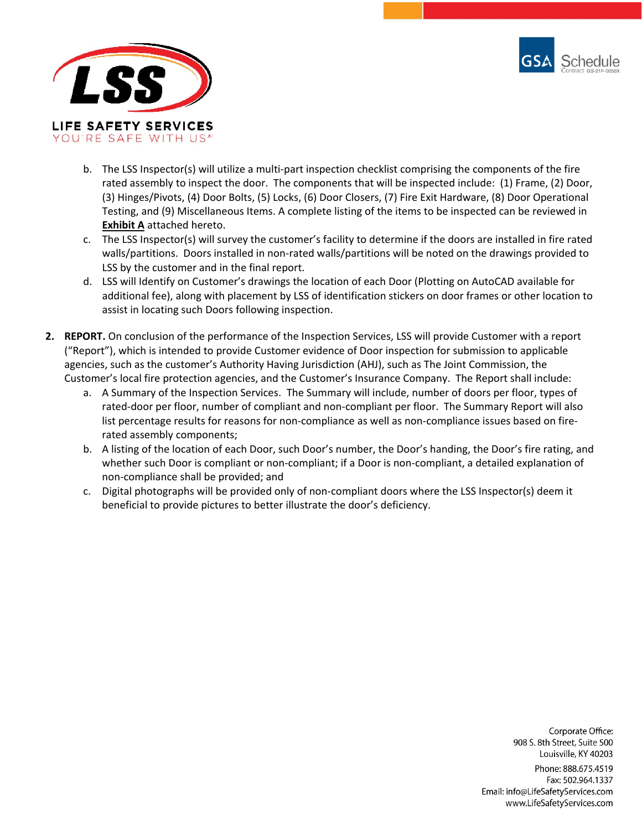



- b. The LSS Inspector(s) will utilize a multi-part inspection checklist comprising the components of the fire rated assembly to inspect the door. The components that will be inspected include: (1) Frame, (2) Door, (3) Hinges/Pivots, (4) Door Bolts, (5) Locks, (6) Door Closers, (7) Fire Exit Hardware, (8) Door Operational Testing, and (9) Miscellaneous Items. A complete listing of the items to be inspected can be reviewed in **Exhibit A** attached hereto.
- c. The LSS Inspector(s) will survey the customer's facility to determine if the doors are installed in fire rated walls/partitions. Doors installed in non-rated walls/partitions will be noted on the drawings provided to LSS by the customer and in the final report.
- d. LSS will Identify on Customer's drawings the location of each Door (Plotting on AutoCAD available for additional fee), along with placement by LSS of identification stickers on door frames or other location to assist in locating such Doors following inspection.
- **2. REPORT.** On conclusion of the performance of the Inspection Services, LSS will provide Customer with a report ("Report"), which is intended to provide Customer evidence of Door inspection for submission to applicable agencies, such as the customer's Authority Having Jurisdiction (AHJ), such as The Joint Commission, the Customer's local fire protection agencies, and the Customer's Insurance Company. The Report shall include:
	- a. A Summary of the Inspection Services. The Summary will include, number of doors per floor, types of rated-door per floor, number of compliant and non-compliant per floor. The Summary Report will also list percentage results for reasons for non-compliance as well as non-compliance issues based on firerated assembly components;
	- b. A listing of the location of each Door, such Door's number, the Door's handing, the Door's fire rating, and whether such Door is compliant or non-compliant; if a Door is non-compliant, a detailed explanation of non-compliance shall be provided; and
	- c. Digital photographs will be provided only of non-compliant doors where the LSS Inspector(s) deem it beneficial to provide pictures to better illustrate the door's deficiency.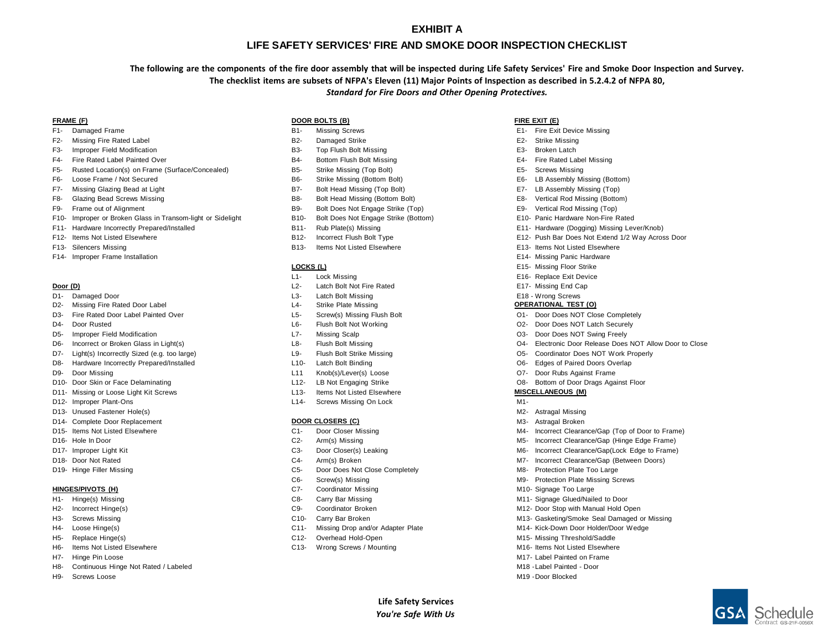#### **EXHIBIT A**

#### **LIFE SAFETY SERVICES' FIRE AND SMOKE DOOR INSPECTION CHECKLIST**

**The following are the components of the fire door assembly that will be inspected during Life Safety Services' Fire and Smoke Door Inspection and Survey. The checklist items are subsets of NFPA's Eleven (11) Major Points of Inspection as described in 5.2.4.2 of NFPA 80,** *Standard for Fire Doors and Other Opening Protectives.*

- 
- F2- Missing Fire Rated Label **B2-** Damaged Strike E2- Strike E2- Strike Missing
- F3- Improper Field Modification The State of the State B3- Top Flush Bolt Missing The State Bolt Missing E3- Broken Latch
- F4- Fire Rated Label Painted Over The State of the State Bottom Flush Bolt Missing The Rated Label Missing E4- Fire Rated Label Missing
- F5- Rusted Location(s) on Frame (Surface/Concealed) B5- Strike Missing (Top Bolt) E5- Screws Missing
- 
- F7- Missing Glazing Bead at Light B7- B7- Bolt Head Missing (Top Bolt) B7- Bolt Head Missing (Top Bolt) E7- LB Assembly Missing (Top)
- 
- F9- Frame out of Alignment examples the strike of the B9- Bolt Does Not Engage Strike (Top) E9- Vertical Rod Missing (Top)
- F10- Improper or Broken Glass in Transom-light or Sidelight B10- Bolt Does Not Engage Strike (Bottom) E10- Panic Hardware Non-Fire Rated
- F11- Hardware Incorrectly Prepared/Installed **B11-** Rub Plate(s) Missing E11- Hardware (Dogging) Missing Lever/Knob)
- F12- Items Not Listed Elsewhere This extend that the B12- Incorrect Flush Bolt Type Theorrect Flush Bolt Type E12- Push Bar Does Not Extend 1/2 Way Across Door
- 
- F14- Improper Frame Installation Entertainment of the State of Texas and State of Texas and E14- Missing Panic Hardware

- 
- D1- Damaged Door Constants and Constants and Constants and Constants and Constants and Constants and Constants<br>Changed Door Latch Bolt Missing Engineering Constants and Constants and Constants and Constants and Constants<br>C D2- Missing Fire Rated Door Label L4- Strike Plate Missing **OPERATIONAL TEST (O)**
- D3- Fire Rated Door Label Painted Over Completely Completely L5- Screw(s) Missing Flush Bolt Completely Completely Completely
- 
- D5- Improper Field Modification Nation L7- Nissing Scalp C3- Door Does NOT Swing Freely
- D6- Incorrect or Broken Glass in Light(s) Close Communication Close Lateronic Door Release Does Not Allow Door to Close
- D7- Light(s) Incorrectly Sized (e.g. too large) L9- Flush Bolt Strike Missing CD5- Coordinator Does NOT Work Properly
- D8- Hardware Incorrectly Prepared/Installed Comparent L10- Latch Bolt Binding Comparent Comparent Dos Edges of Paired Doors Overlap
- 
- 
- D11- Missing or Loose Light Kit Screws L13- Items Not Listed Elsewhere **MISCELLANEOUS (M)**
- 
- D13- Unused Fastener Hole(s) November 1988 and the United States of the Material Missing Material Missing Missing
- 
- 
- 
- 
- 
- 

- 
- 
- 
- 
- 
- 
- H7- Hinge Pin Loose M17- Label Painted on Frame
- H8- Continuous Hinge Not Rated / Labeled M18 -Label Painted Door
- H9- Screws Loose M19 -Door Blocked

#### **FRAME (F) DOOR BOLTS (B) FIRE EXIT (E)**

- 
- 
- 
- 
- 
- 
- 
- 
- 
- 
- 
- 
- F13- Silencers Missing The State of the State of B13- Items Not Listed Elsewhere E13- Items Not Listed Elsewhere

#### **LOCKS (L) E15-** Missing Floor Strike

- L1- Lock Missing E16- Replace Exit Device
- **Door (D) Latch Bolt Not Fire Rated E17- Missing End Cap** 
	-
	-
	-
- D4- Door Rusted L6- Flush Bolt Not Working O2- Door Does NOT Latch Securely
	-
	-
	-
	-
- D9- Door Missing Communication Controllers (1999) Lever(s) Loose Controllers Controllers (Controllers Against Frame
- D10- Door Skin or Face Delaminating examination control of the L12- LB Not Engaging Strike Cost Communication CO8- Bottom of Door Drags Against Floor
	-
- D12- Improper Plant-Ons L14- Screws Missing On Lock M1-

#### D14- Complete Door Replacement **DOOR CLOSERS (C)** M3- Astragal Broken

- D15- Items Not Listed Elsewhere The C1- Door Closer Missing M5- Incorrect Clearance/Gap (Top of Door to Frame)
- D16- Hole In Door **C2-** Arm(s) Missing C2- Arm(s) Missing Missing M5- Incorrect Clearance/Gap (Hinge Edge Frame)
- D17- Improper Light Kit C3- Door Closer(s) Leaking M6- Incorrect Clearance/Gap(Lock Edge to Frame)
- D18- Door Not Rated Material C4- Arm(s) Broken M7- Incorrect Clearance/Gap (Between Doors) C4- Arm(s) Broken
- D19- Hinge Filler Missing The C5- Door Does Not Close Completely C5- Door Does Not Close Completely M8- Protection Plate Too Large
	- C6- Screw(s) Missing M9- Protection Plate Missing Screws
- **HINGES/PIVOTS (H)** C7- Coordinator Missing M10- Signage Too Large Too Large
- H1- Hinge(s) Missing This issue of the C8- Carry Bar Missing C8- Carry Bar Missing M11- Signage Glued/Nailed to Door
- H2- Incorrect Hinge(s) The Communication Communication Continuity Coordinator Broken Coordinator Broken M12- Door Stop with Manual Hold Open
- H3- Screws Missing This Missing C10- Carry Bar Broken Missing M13- Gasketing/Smoke Seal Damaged or Missing
- H4- Loose Hinge(s) The Contract Contract Contract Contract Contract Contract Contract Contract Contract Contract Contract Contract Contract Contract Contract Contract Contract Contract Contract Contract Contract Contract C

**Life Safety Services** *You're Safe With Us*

- H5- Replace Hinge(s) The C12- Overhead Hold-Open C12- Overhead Hold-Open M15- Missing Threshold/Saddle
- H6- Items Not Listed Elsewhere The Control of Control of C13- Wrong Screws / Mounting M16- Items Not Listed Elsewhere

- F1- Damaged Frame Same B1- Missing Screws E1- History E1- Fire Exit Device Missing Screws E1- Fire Exit Device Missing
	-
	-
	-
	-
- F6- Loose Frame / Not Secured The Strike Missing (Bottom Bolt) B6- Strike Missing (Bottom Bolt) E6- LB Assembly Missing (Bottom)
	-
- F8- Glazing Bead Screws Missing Theorem Control of B8- Bolt Head Missing (Bottom Bolt) E8- Vertical Rod Missing (Bottom)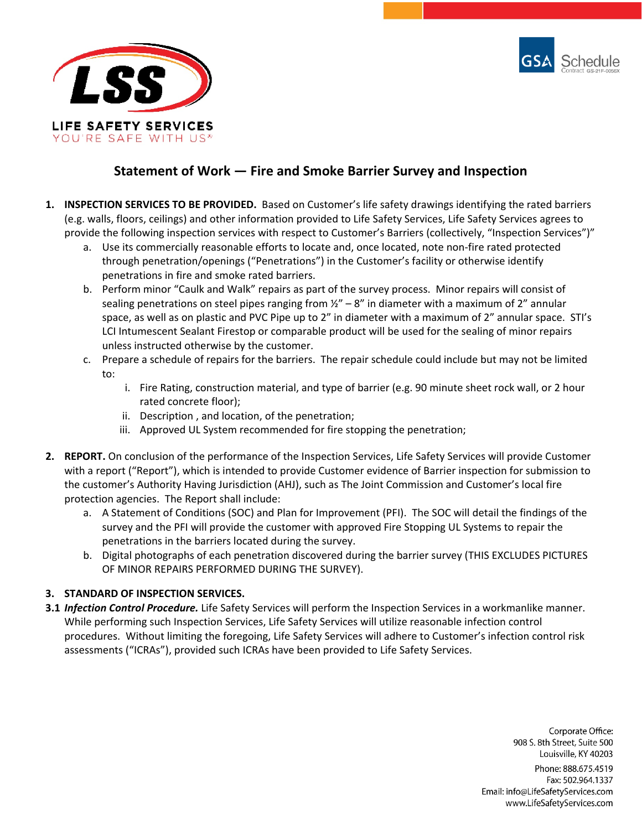



# **Statement of Work — Fire and Smoke Barrier Survey and Inspection**

- **1. INSPECTION SERVICES TO BE PROVIDED.** Based on Customer's life safety drawings identifying the rated barriers (e.g. walls, floors, ceilings) and other information provided to Life Safety Services, Life Safety Services agrees to provide the following inspection services with respect to Customer's Barriers (collectively, "Inspection Services")"
	- a. Use its commercially reasonable efforts to locate and, once located, note non-fire rated protected through penetration/openings ("Penetrations") in the Customer's facility or otherwise identify penetrations in fire and smoke rated barriers.
	- b. Perform minor "Caulk and Walk" repairs as part of the survey process. Minor repairs will consist of sealing penetrations on steel pipes ranging from  $\frac{1}{2}$  - 8" in diameter with a maximum of 2" annular space, as well as on plastic and PVC Pipe up to 2" in diameter with a maximum of 2" annular space. STI's LCI Intumescent Sealant Firestop or comparable product will be used for the sealing of minor repairs unless instructed otherwise by the customer.
	- c. Prepare a schedule of repairs for the barriers. The repair schedule could include but may not be limited to:
		- i. Fire Rating, construction material, and type of barrier (e.g. 90 minute sheet rock wall, or 2 hour rated concrete floor);
		- ii. Description , and location, of the penetration;
		- iii. Approved UL System recommended for fire stopping the penetration;
- **2. REPORT.** On conclusion of the performance of the Inspection Services, Life Safety Services will provide Customer with a report ("Report"), which is intended to provide Customer evidence of Barrier inspection for submission to the customer's Authority Having Jurisdiction (AHJ), such as The Joint Commission and Customer's local fire protection agencies. The Report shall include:
	- a. A Statement of Conditions (SOC) and Plan for Improvement (PFI). The SOC will detail the findings of the survey and the PFI will provide the customer with approved Fire Stopping UL Systems to repair the penetrations in the barriers located during the survey.
	- b. Digital photographs of each penetration discovered during the barrier survey (THIS EXCLUDES PICTURES OF MINOR REPAIRS PERFORMED DURING THE SURVEY).

### **3. STANDARD OF INSPECTION SERVICES.**

**3.1** *Infection Control Procedure.* Life Safety Services will perform the Inspection Services in a workmanlike manner. While performing such Inspection Services, Life Safety Services will utilize reasonable infection control procedures. Without limiting the foregoing, Life Safety Services will adhere to Customer's infection control risk assessments ("ICRAs"), provided such ICRAs have been provided to Life Safety Services.